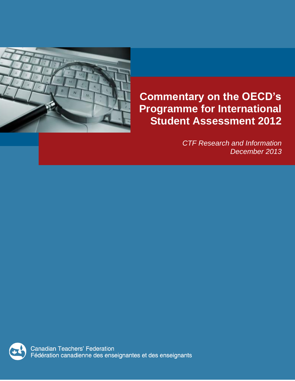

# **Commentary on the OECD's Programme for International Student Assessment 2012**

*CTF Research and Information December 2013*

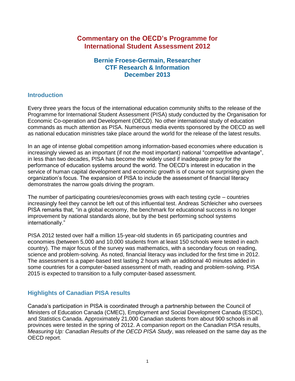## **Commentary on the OECD's Programme for International Student Assessment 2012**

### **Bernie Froese-Germain, Researcher CTF Research & Information December 2013**

### **Introduction**

Every three years the focus of the international education community shifts to the release of the Programme for International Student Assessment (PISA) study conducted by the Organisation for Economic Co-operation and Development (OECD). No other international study of education commands as much attention as PISA. Numerous media events sponsored by the OECD as well as national education ministries take place around the world for the release of the latest results.

In an age of intense global competition among information-based economies where education is increasingly viewed as an important (if not *the* most important) national "competitive advantage", in less than two decades, PISA has become the widely used if inadequate proxy for the performance of education systems around the world. The OECD's interest in education in the service of human capital development and economic growth is of course not surprising given the organization's focus. The expansion of PISA to include the assessment of financial literacy demonstrates the narrow goals driving the program.

The number of participating countries/economies grows with each testing cycle – countries increasingly feel they cannot be left out of this influential test. Andreas Schleicher who oversees PISA remarks that, "in a global economy, the benchmark for educational success is no longer improvement by national standards alone, but by the best performing school systems internationally."

PISA 2012 tested over half a million 15-year-old students in 65 participating countries and economies (between 5,000 and 10,000 students from at least 150 schools were tested in each country). The major focus of the survey was mathematics, with a secondary focus on reading, science and problem-solving. As noted, financial literacy was included for the first time in 2012. The assessment is a paper-based test lasting 2 hours with an additional 40 minutes added in some countries for a computer-based assessment of math, reading and problem-solving. PISA 2015 is expected to transition to a fully computer-based assessment.

### **Highlights of Canadian PISA results**

Canada's participation in PISA is coordinated through a partnership between the Council of Ministers of Education Canada (CMEC), Employment and Social Development Canada (ESDC), and Statistics Canada. Approximately 21,000 Canadian students from about 900 schools in all provinces were tested in the spring of 2012. A companion report on the Canadian PISA results, *Measuring Up: Canadian Results of the OECD PISA Study*, was released on the same day as the OECD report.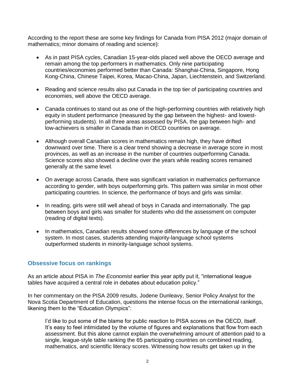According to the report these are some key findings for Canada from PISA 2012 (major domain of mathematics; minor domains of reading and science):

- As in past PISA cycles, Canadian 15-year-olds placed well above the OECD average and remain among the top performers in mathematics. Only nine participating countries/economies performed better than Canada: Shanghai-China, Singapore, Hong Kong-China, Chinese Taipei, Korea, Macao-China, Japan, Liechtenstein, and Switzerland.
- Reading and science results also put Canada in the top tier of participating countries and economies, well above the OECD average.
- Canada continues to stand out as one of the high-performing countries with relatively high equity in student performance (measured by the gap between the highest- and lowestperforming students). In all three areas assessed by PISA, the gap between high- and low-achievers is smaller in Canada than in OECD countries on average.
- Although overall Canadian scores in mathematics remain high, they have drifted downward over time. There is a clear trend showing a decrease in average score in most provinces, as well as an increase in the number of countries outperforming Canada. Science scores also showed a decline over the years while reading scores remained generally at the same level.
- On average across Canada, there was significant variation in mathematics performance according to gender, with boys outperforming girls. This pattern was similar in most other participating countries. In science, the performance of boys and girls was similar.
- In reading, girls were still well ahead of boys in Canada and internationally. The gap between boys and girls was smaller for students who did the assessment on computer (reading of digital texts).
- In mathematics, Canadian results showed some differences by language of the school system. In most cases, students attending majority-language school systems outperformed students in minority-language school systems.

### **Obsessive focus on rankings**

As an article about PISA in *The Economist* earlier this year aptly put it, "international league tables have acquired a central role in debates about education policy."

In her commentary on the PISA 2009 results, Jodene Dunleavy, Senior Policy Analyst for the Nova Scotia Department of Education, questions the intense focus on the international rankings, likening them to the "Education Olympics":

I'd like to put some of the blame for public reaction to PISA scores on the OECD, itself. It's easy to feel intimidated by the volume of figures and explanations that flow from each assessment. But this alone cannot explain the overwhelming amount of attention paid to a single, league-style table ranking the 65 participating countries on combined reading, mathematics, and scientific literacy scores. Witnessing how results get taken up in the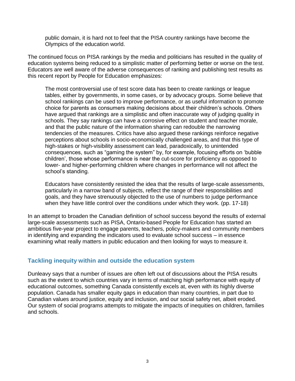public domain, it is hard not to feel that the PISA country rankings have become the Olympics of the education world.

The continued focus on PISA rankings by the media and politicians has resulted in the quality of education systems being reduced to a simplistic matter of performing better or worse on the test. Educators are well aware of the adverse consequences of ranking and publishing test results as this recent report by People for Education emphasizes:

The most controversial use of test score data has been to create rankings or league tables, either by governments, in some cases, or by advocacy groups. Some believe that school rankings can be used to improve performance, or as useful information to promote choice for parents as consumers making decisions about their children's schools. Others have argued that rankings are a simplistic and often inaccurate way of judging quality in schools. They say rankings can have a corrosive effect on student and teacher morale, and that the public nature of the information sharing can redouble the narrowing tendencies of the measures. Critics have also argued these rankings reinforce negative perceptions about schools in socio-economically challenged areas, and that this type of high-stakes or high-visibility assessment can lead, paradoxically, to unintended consequences, such as "gaming the system" by, for example, focusing efforts on 'bubble children', those whose performance is near the cut-score for proficiency as opposed to lower- and higher-performing children where changes in performance will not affect the school's standing.

Educators have consistently resisted the idea that the results of large-scale assessments, particularly in a narrow band of subjects, reflect the range of their responsibilities and goals, and they have strenuously objected to the use of numbers to judge performance when they have little control over the conditions under which they work. (pp. 17-18)

In an attempt to broaden the Canadian definition of school success beyond the results of external large-scale assessments such as PISA, Ontario-based People for Education has started an ambitious five-year project to engage parents, teachers, policy-makers and community members in identifying and expanding the indicators used to evaluate school success – in essence examining what really matters in public education and then looking for ways to measure it.

### **Tackling inequity within and outside the education system**

Dunleavy says that a number of issues are often left out of discussions about the PISA results such as the extent to which countries vary in terms of matching high performance with equity of educational outcomes, something Canada consistently excels at, even with its highly diverse population. Canada has smaller equity gaps in education than many countries, in part due to Canadian values around justice, equity and inclusion, and our social safety net, albeit eroded. Our system of social programs attempts to mitigate the impacts of inequities on children, families and schools.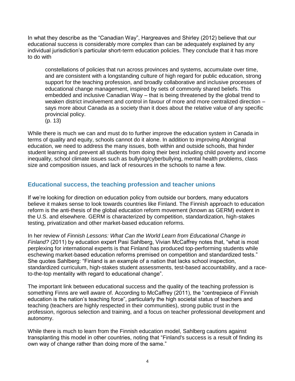In what they describe as the "Canadian Way", Hargreaves and Shirley (2012) believe that our educational success is considerably more complex than can be adequately explained by any individual jurisdiction's particular short-term education policies. They conclude that it has more to do with

constellations of policies that run across provinces and systems, accumulate over time, and are consistent with a longstanding culture of high regard for public education, strong support for the teaching profession, and broadly collaborative and inclusive processes of educational change management, inspired by sets of commonly shared beliefs. This embedded and inclusive Canadian Way – that is being threatened by the global trend to weaken district involvement and control in favour of more and more centralized direction – says more about Canada as a society than it does about the relative value of any specific provincial policy.

(p. 13)

While there is much we can and must do to further improve the education system in Canada in terms of quality and equity, schools cannot do it alone. In addition to improving Aboriginal education, we need to address the many issues, both within and outside schools, that hinder student learning and prevent all students from doing their best including child poverty and income inequality, school climate issues such as bullying/cyberbullying, mental health problems, class size and composition issues, and lack of resources in the schools to name a few.

### **Educational success, the teaching profession and teacher unions**

If we're looking for direction on education policy from outside our borders, many educators believe it makes sense to look towards countries like Finland. The Finnish approach to education reform is the anti-thesis of the global education reform movement (known as GERM) evident in the U.S. and elsewhere. GERM is characterized by competition, standardization, high-stakes testing, privatization and other market-based education reforms.

In her review of *Finnish Lessons: What Can the World Learn from Educational Change in Finland?* (2011) by education expert Pasi Sahlberg, Vivian McCaffrey notes that, "what is most perplexing for international experts is that Finland has produced top-performing students while eschewing market-based education reforms premised on competition and standardized tests." She quotes Sahlberg: "Finland is an example of a nation that lacks school inspection, standardized curriculum, high-stakes student assessments, test-based accountability, and a raceto-the-top mentality with regard to educational change".

The important link between educational success and the quality of the teaching profession is something Finns are well aware of. According to McCaffrey (2011), the "centrepiece of Finnish education is the nation's teaching force", particularly the high societal status of teachers and teaching (teachers are highly respected in their communities), strong public trust in the profession, rigorous selection and training, and a focus on teacher professional development and autonomy.

While there is much to learn from the Finnish education model, Sahlberg cautions against transplanting this model in other countries, noting that "Finland's success is a result of finding its own way of change rather than doing more of the same."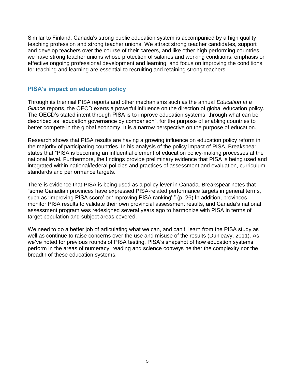Similar to Finland, Canada's strong public education system is accompanied by a high quality teaching profession and strong teacher unions. We attract strong teacher candidates, support and develop teachers over the course of their careers, and like other high performing countries we have strong teacher unions whose protection of salaries and working conditions, emphasis on effective ongoing professional development and learning, and focus on improving the conditions for teaching and learning are essential to recruiting and retaining strong teachers.

#### **PISA's impact on education policy**

Through its triennial PISA reports and other mechanisms such as the annual *Education at a Glance* reports, the OECD exerts a powerful influence on the direction of global education policy. The OECD's stated intent through PISA is to improve education systems, through what can be described as "education governance by comparison", for the purpose of enabling countries to better compete in the global economy. It is a narrow perspective on the purpose of education.

Research shows that PISA results are having a growing influence on education policy reform in the majority of participating countries. In his analysis of the policy impact of PISA, Breakspear states that "PISA is becoming an influential element of education policy-making processes at the national level. Furthermore, the findings provide preliminary evidence that PISA is being used and integrated within national/federal policies and practices of assessment and evaluation, curriculum standards and performance targets."

There is evidence that PISA is being used as a policy lever in Canada. Breakspear notes that "some Canadian provinces have expressed PISA-related performance targets in general terms, such as 'improving PISA score' or 'improving PISA ranking'." (p. 26) In addition, provinces monitor PISA results to validate their own provincial assessment results, and Canada's national assessment program was redesigned several years ago to harmonize with PISA in terms of target population and subject areas covered.

We need to do a better job of articulating what we can, and can't, learn from the PISA study as well as continue to raise concerns over the use and misuse of the results (Dunleavy, 2011). As we've noted for previous rounds of PISA testing, PISA's snapshot of how education systems perform in the areas of numeracy, reading and science conveys neither the complexity nor the breadth of these education systems.